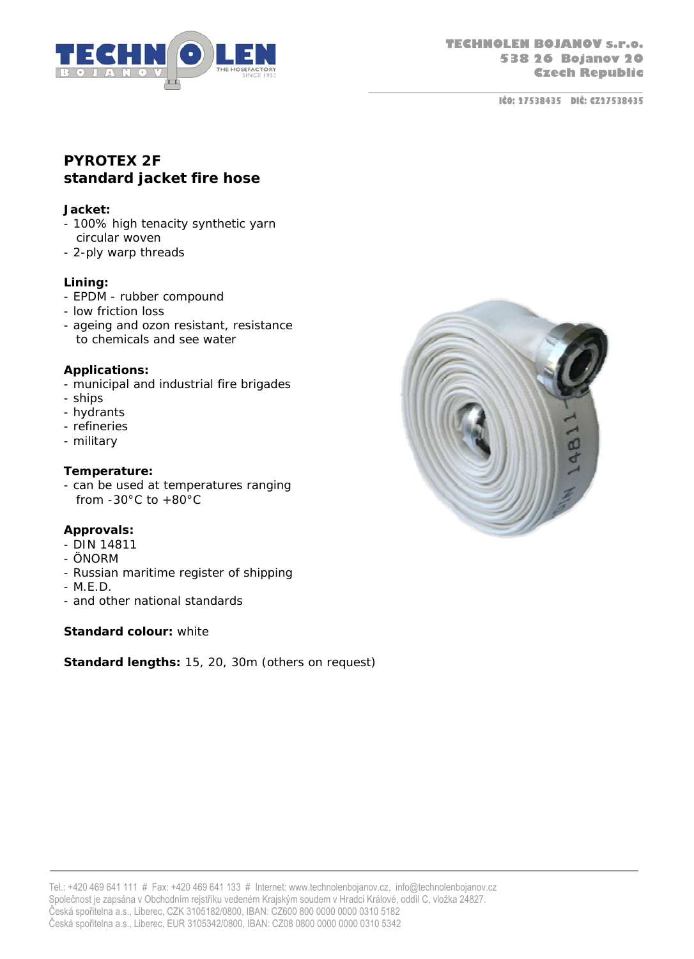

 **IČO: 27538435 DIČ: CZ27538435**

# **PYROTEX 2F standard jacket fire hose**

#### **Jacket:**

- 100% high tenacity synthetic yarn circular woven
- 2-ply warp threads

#### **Lining:**

- EPDM rubber compound
- low friction loss
- ageing and ozon resistant, resistance to chemicals and see water

## **Applications:**

- municipal and industrial fire brigades
- ships
- hydrants
- refineries
- military

## **Temperature:**

- can be used at temperatures ranging from  $-30^{\circ}$ C to  $+80^{\circ}$ C

## **Approvals:**

- DIN 14811
- ÖNORM
- Russian maritime register of shipping
- M.E.D.
- and other national standards

#### **Standard colour:** white

**Standard lengths:** 15, 20, 30m (others on request)